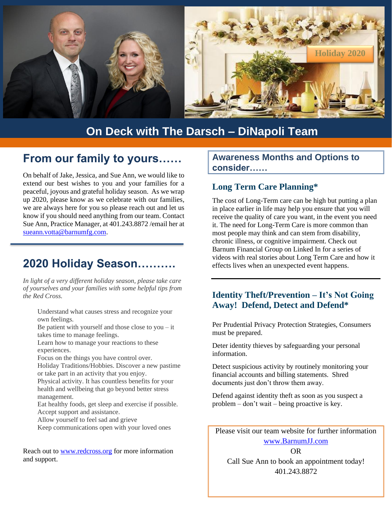

## **On Deck with The Darsch – DiNapoli Team**

### **From our family to yours……**

On behalf of Jake, Jessica, and Sue Ann, we would like to extend our best wishes to you and your families for a peaceful, joyous and grateful holiday season. As we wrap up 2020, please know as we celebrate with our families, we are always here for you so please reach out and let us know if you should need anything from our team. Contact Sue Ann, Practice Manager, at 401.243.8872 /email her at [sueann.votta@barnumfg.com.](mailto:sueann.votta@barnumfg.com)

### **2020 Holiday Season……….**

*In light of a very different holiday season, please take care of yourselves and your families with some helpful tips from the Red Cross.* 

Understand what causes stress and [recognize](https://www.redcross.ca/blog/2020/10/the-impact-of-stress-on-your-mental-health) your own [feelings.](https://www.redcross.ca/blog/2020/10/the-impact-of-stress-on-your-mental-health)

Be patient with yourself and those close to you – it takes time to manage feelings.

Learn how to manage your reactions to these experiences.

Focus on the things you have control over.

Holiday Traditions/Hobbies. Discover a new pastime or take part in an activity that you enjoy.

Physical activity. It has countless benefits for your health and wellbeing that go beyond better stress management.

Eat healthy foods, get sleep and exercise if possible. Accept support and assistance.

Allow yourself to feel sad and grieve

Keep communications open with your loved ones

Reach out to [www.redcross.org](http://www.redcross.org/) for more information and support.

#### **Awareness Months and Options to consider……**

#### **Long Term Care Planning\***

The cost of Long-Term care can be high but putting a plan in place earlier in life may help you ensure that you will receive the quality of care you want, in the event you need it. The need for Long-Term Care is more common than most people may think and can stem from disability, chronic illness, or cognitive impairment. Check out Barnum Financial Group on Linked In for a series of videos with real stories about Long Term Care and how it effects lives when an unexpected event happens.

#### **Identity Theft/Prevention – It's Not Going Away! Defend, Detect and Defend\***

Per Prudential Privacy Protection Strategies, Consumers must be prepared.

Deter identity thieves by safeguarding your personal information.

Detect suspicious activity by routinely monitoring your financial accounts and billing statements. Shred documents just don't throw them away.

Defend against identity theft as soon as you suspect a problem – don't wait – being proactive is key.

Please visit our team website for further information [www.BarnumJJ.com](http://www.barnumjj.com/)

OR Call Sue Ann to book an appointment today! 401.243.8872